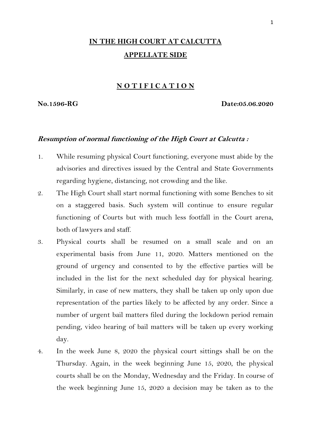# **IN THE HIGH COURT AT CALCUTTA APPELLATE SIDE**

## **N O T I F I C A T I O N**

**No.1596-RG Date:05.06.2020**

#### **Resumption of normal functioning of the High Court at Calcutta :**

- 1. While resuming physical Court functioning, everyone must abide by the advisories and directives issued by the Central and State Governments regarding hygiene, distancing, not crowding and the like.
- 2. The High Court shall start normal functioning with some Benches to sit on a staggered basis. Such system will continue to ensure regular functioning of Courts but with much less footfall in the Court arena, both of lawyers and staff.
- 3. Physical courts shall be resumed on a small scale and on an experimental basis from June 11, 2020. Matters mentioned on the ground of urgency and consented to by the effective parties will be included in the list for the next scheduled day for physical hearing. Similarly, in case of new matters, they shall be taken up only upon due representation of the parties likely to be affected by any order. Since a number of urgent bail matters filed during the lockdown period remain pending, video hearing of bail matters will be taken up every working day.
- 4. In the week June 8, 2020 the physical court sittings shall be on the Thursday. Again, in the week beginning June 15, 2020, the physical courts shall be on the Monday, Wednesday and the Friday. In course of the week beginning June 15, 2020 a decision may be taken as to the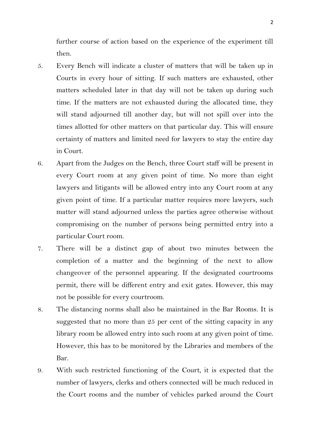further course of action based on the experience of the experiment till then.

- 5. Every Bench will indicate a cluster of matters that will be taken up in Courts in every hour of sitting. If such matters are exhausted, other matters scheduled later in that day will not be taken up during such time. If the matters are not exhausted during the allocated time, they will stand adjourned till another day, but will not spill over into the times allotted for other matters on that particular day. This will ensure certainty of matters and limited need for lawyers to stay the entire day in Court.
- 6. Apart from the Judges on the Bench, three Court staff will be present in every Court room at any given point of time. No more than eight lawyers and litigants will be allowed entry into any Court room at any given point of time. If a particular matter requires more lawyers, such matter will stand adjourned unless the parties agree otherwise without compromising on the number of persons being permitted entry into a particular Court room.
- 7. There will be a distinct gap of about two minutes between the completion of a matter and the beginning of the next to allow changeover of the personnel appearing. If the designated courtrooms permit, there will be different entry and exit gates. However, this may not be possible for every courtroom.
- 8. The distancing norms shall also be maintained in the Bar Rooms. It is suggested that no more than 25 per cent of the sitting capacity in any library room be allowed entry into such room at any given point of time. However, this has to be monitored by the Libraries and members of the Bar.
- 9. With such restricted functioning of the Court, it is expected that the number of lawyers, clerks and others connected will be much reduced in the Court rooms and the number of vehicles parked around the Court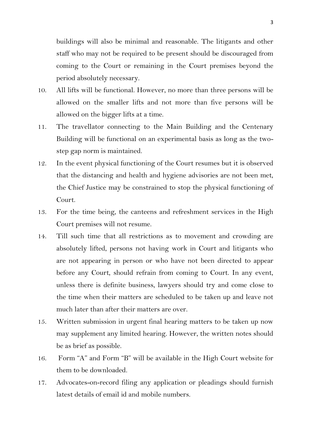buildings will also be minimal and reasonable. The litigants and other staff who may not be required to be present should be discouraged from coming to the Court or remaining in the Court premises beyond the period absolutely necessary.

- 10. All lifts will be functional. However, no more than three persons will be allowed on the smaller lifts and not more than five persons will be allowed on the bigger lifts at a time.
- 11. The travellator connecting to the Main Building and the Centenary Building will be functional on an experimental basis as long as the twostep gap norm is maintained.
- 12. In the event physical functioning of the Court resumes but it is observed that the distancing and health and hygiene advisories are not been met, the Chief Justice may be constrained to stop the physical functioning of Court.
- 13. For the time being, the canteens and refreshment services in the High Court premises will not resume.
- 14. Till such time that all restrictions as to movement and crowding are absolutely lifted, persons not having work in Court and litigants who are not appearing in person or who have not been directed to appear before any Court, should refrain from coming to Court. In any event, unless there is definite business, lawyers should try and come close to the time when their matters are scheduled to be taken up and leave not much later than after their matters are over.
- 15. Written submission in urgent final hearing matters to be taken up now may supplement any limited hearing. However, the written notes should be as brief as possible.
- 16. Form "A" and Form "B" will be available in the High Court website for them to be downloaded.
- 17. Advocates-on-record filing any application or pleadings should furnish latest details of email id and mobile numbers.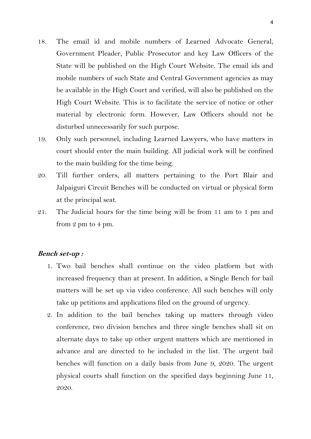- 18. The email id and mobile numbers of Learned Advocate General, Government Pleader, Public Prosecutor and key Law Officers of the State will be published on the High Court Website. The email ids and mobile numbers of such State and Central Government agencies as may be available in the High Court and verified, will also be published on the High Court Website. This is to facilitate the service of notice or other material by electronic form. However, Law Officers should not be disturbed unnecessarily for such purpose.
- 19. Only such personnel, including Learned Lawyers, who have matters in court should enter the main building. All judicial work will be confined to the main building for the time being.
- 20. Till further orders, all matters pertaining to the Port Blair and Jalpaiguri Circuit Benches will be conducted on virtual or physical form at the principal seat.
- 21. The Judicial hours for the time being will be from 11 am to 1 pm and from 2 pm to 4 pm.

#### **Bench set-up :**

- 1. Two bail benches shall continue on the video platform but with increased frequency than at present. In addition, a Single Bench for bail matters will be set up via video conference. All such benches will only take up petitions and applications filed on the ground of urgency.
- 2. In addition to the bail benches taking up matters through video conference, two division benches and three single benches shall sit on alternate days to take up other urgent matters which are mentioned in advance and are directed to be included in the list. The urgent bail benches will function on a daily basis from June 9, 2020. The urgent physical courts shall function on the specified days beginning June 11, 2020.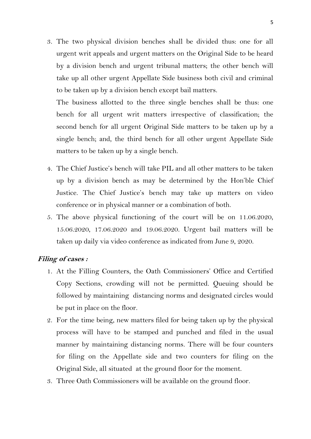3. The two physical division benches shall be divided thus: one for all urgent writ appeals and urgent matters on the Original Side to be heard by a division bench and urgent tribunal matters; the other bench will take up all other urgent Appellate Side business both civil and criminal to be taken up by a division bench except bail matters.

The business allotted to the three single benches shall be thus: one bench for all urgent writ matters irrespective of classification; the second bench for all urgent Original Side matters to be taken up by a single bench; and, the third bench for all other urgent Appellate Side matters to be taken up by a single bench.

- 4. The Chief Justice's bench will take PIL and all other matters to be taken up by a division bench as may be determined by the Hon'ble Chief Justice. The Chief Justice's bench may take up matters on video conference or in physical manner or a combination of both.
- 5. The above physical functioning of the court will be on 11.06.2020, 15.06.2020, 17.06.2020 and 19.06.2020. Urgent bail matters will be taken up daily via video conference as indicated from June 9, 2020.

# **Filing of cases :**

- 1. At the Filling Counters, the Oath Commissioners' Office and Certified Copy Sections, crowding will not be permitted. Queuing should be followed by maintaining distancing norms and designated circles would be put in place on the floor.
- 2. For the time being, new matters filed for being taken up by the physical process will have to be stamped and punched and filed in the usual manner by maintaining distancing norms. There will be four counters for filing on the Appellate side and two counters for filing on the Original Side, all situated at the ground floor for the moment.
- 3. Three Oath Commissioners will be available on the ground floor.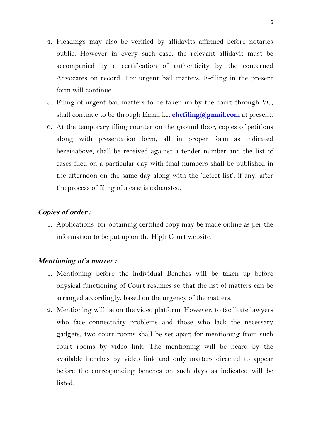- 4. Pleadings may also be verified by affidavits affirmed before notaries public. However in every such case, the relevant affidavit must be accompanied by a certification of authenticity by the concerned Advocates on record. For urgent bail matters, E-filing in the present form will continue.
- 5. Filing of urgent bail matters to be taken up by the court through VC, shall continue to be through Email i.e, **[chcfiling@gmail.com](mailto:chcfiling@gmail.com)** at present.
- 6. At the temporary filing counter on the ground floor, copies of petitions along with presentation form, all in proper form as indicated hereinabove, shall be received against a tender number and the list of cases filed on a particular day with final numbers shall be published in the afternoon on the same day along with the 'defect list', if any, after the process of filing of a case is exhausted.

# **Copies of order :**

1. Applications for obtaining certified copy may be made online as per the information to be put up on the High Court website.

## **Mentioning of a matter :**

- 1. Mentioning before the individual Benches will be taken up before physical functioning of Court resumes so that the list of matters can be arranged accordingly, based on the urgency of the matters.
- 2. Mentioning will be on the video platform. However, to facilitate lawyers who face connectivity problems and those who lack the necessary gadgets, two court rooms shall be set apart for mentioning from such court rooms by video link. The mentioning will be heard by the available benches by video link and only matters directed to appear before the corresponding benches on such days as indicated will be listed.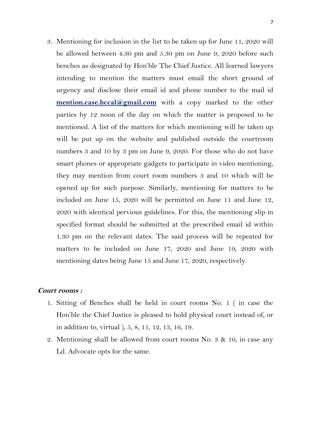3. Mentioning for inclusion in the list to be taken up for June 11, 2020 will be allowed between 4.30 pm and 5.30 pm on June 9, 2020 before such benches as designated by Hon'ble The Chief Justice. All learned lawyers intending to mention the matters must email the short ground of urgency and disclose their email id and phone number to the mail id **mention.case.hccal@gmail.com** with a copy marked to the other parties by 12 noon of the day on which the matter is proposed to be mentioned. A list of the matters for which mentioning will be taken up will be put up on the website and published outside the courtroom numbers 3 and 10 by 3 pm on June 9, 2020. For those who do not have smart phones or appropriate gadgets to participate in video mentioning, they may mention from court room numbers 3 and 10 which will be opened up for such purpose. Similarly, mentioning for matters to be included on June 15, 2020 will be permitted on June 11 and June 12, 2020 with identical pervious guidelines. For this, the mentioning slip in specified format should be submitted at the prescribed email id within 1.30 pm on the relevant dates. The said process will be repeated for matters to be included on June 17, 2020 and June 19, 2020 with mentioning dates being June 15 and June 17, 2020, respectively.

# **Court rooms :**

- 1. Sitting of Benches shall be held in court rooms No. 1 ( in case the Hon'ble the Chief Justice is pleased to hold physical court instead of, or in addition to, virtual ), 5, 8, 11, 12, 13, 16, 19.
- 2. Mentioning shall be allowed from court rooms No. 3 & 10, in case any Ld. Advocate opts for the same.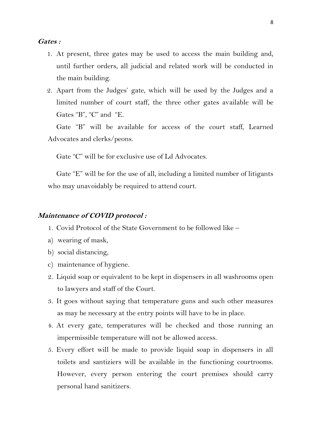- 1. At present, three gates may be used to access the main building and, until further orders, all judicial and related work will be conducted in the main building.
- 2. Apart from the Judges' gate, which will be used by the Judges and a limited number of court staff, the three other gates available will be Gates "B", "C" and "E.

Gate "B" will be available for access of the court staff, Learned Advocates and clerks/peons.

Gate "C" will be for exclusive use of Ld Advocates.

Gate "E" will be for the use of all, including a limited number of litigants who may unavoidably be required to attend court.

#### **Maintenance of COVID protocol :**

- 1. Covid Protocol of the State Government to be followed like –
- a) wearing of mask,
- b) social distancing,
- c) maintenance of hygiene.
- 2. Liquid soap or equivalent to be kept in dispensers in all washrooms open to lawyers and staff of the Court.
- 3. It goes without saying that temperature guns and such other measures as may be necessary at the entry points will have to be in place.
- 4. At every gate, temperatures will be checked and those running an impermissible temperature will not be allowed access.
- 5. Every effort will be made to provide liquid soap in dispensers in all toilets and santiziers will be available in the functioning courtrooms. However, every person entering the court premises should carry personal hand sanitizers.